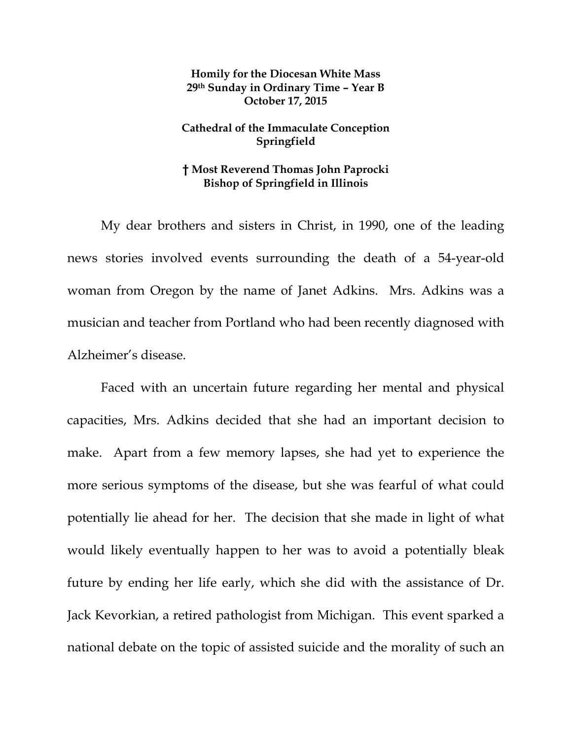## **Homily for the Diocesan White Mass 29th Sunday in Ordinary Time – Year B October 17, 2015**

## **Cathedral of the Immaculate Conception Springfield**

## **† Most Reverend Thomas John Paprocki Bishop of Springfield in Illinois**

 My dear brothers and sisters in Christ, in 1990, one of the leading news stories involved events surrounding the death of a 54-year-old woman from Oregon by the name of Janet Adkins. Mrs. Adkins was a musician and teacher from Portland who had been recently diagnosed with Alzheimer's disease.

 Faced with an uncertain future regarding her mental and physical capacities, Mrs. Adkins decided that she had an important decision to make. Apart from a few memory lapses, she had yet to experience the more serious symptoms of the disease, but she was fearful of what could potentially lie ahead for her. The decision that she made in light of what would likely eventually happen to her was to avoid a potentially bleak future by ending her life early, which she did with the assistance of Dr. Jack Kevorkian, a retired pathologist from Michigan. This event sparked a national debate on the topic of assisted suicide and the morality of such an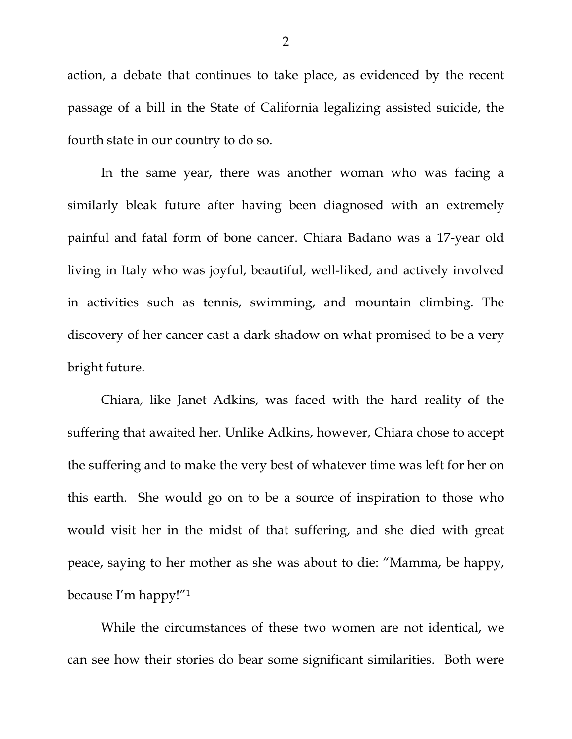action, a debate that continues to take place, as evidenced by the recent passage of a bill in the State of California legalizing assisted suicide, the fourth state in our country to do so.

 In the same year, there was another woman who was facing a similarly bleak future after having been diagnosed with an extremely painful and fatal form of bone cancer. Chiara Badano was a 17-year old living in Italy who was joyful, beautiful, well-liked, and actively involved in activities such as tennis, swimming, and mountain climbing. The discovery of her cancer cast a dark shadow on what promised to be a very bright future.

 Chiara, like Janet Adkins, was faced with the hard reality of the suffering that awaited her. Unlike Adkins, however, Chiara chose to accept the suffering and to make the very best of whatever time was left for her on this earth. She would go on to be a source of inspiration to those who would visit her in the midst of that suffering, and she died with great peace, saying to her mother as she was about to die: "Mamma, be happy, because I'm happy!"1

While the circumstances of these two women are not identical, we can see how their stories do bear some significant similarities. Both were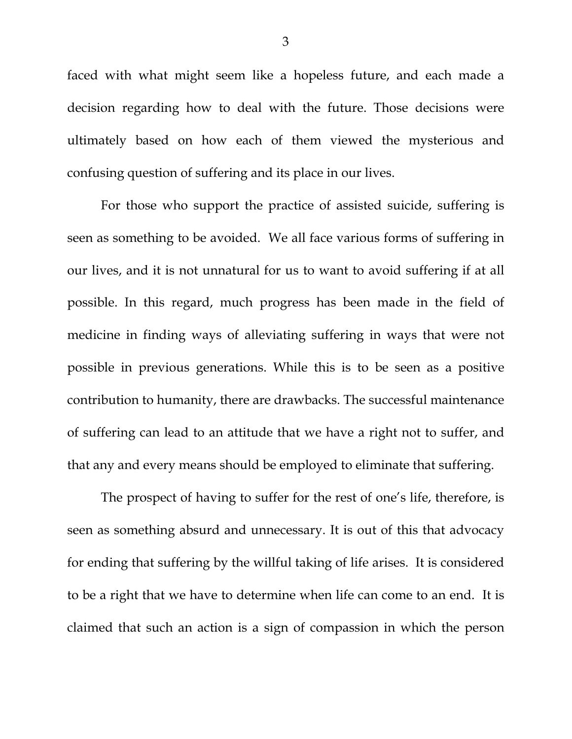faced with what might seem like a hopeless future, and each made a decision regarding how to deal with the future. Those decisions were ultimately based on how each of them viewed the mysterious and confusing question of suffering and its place in our lives.

For those who support the practice of assisted suicide, suffering is seen as something to be avoided. We all face various forms of suffering in our lives, and it is not unnatural for us to want to avoid suffering if at all possible. In this regard, much progress has been made in the field of medicine in finding ways of alleviating suffering in ways that were not possible in previous generations. While this is to be seen as a positive contribution to humanity, there are drawbacks. The successful maintenance of suffering can lead to an attitude that we have a right not to suffer, and that any and every means should be employed to eliminate that suffering.

The prospect of having to suffer for the rest of one's life, therefore, is seen as something absurd and unnecessary. It is out of this that advocacy for ending that suffering by the willful taking of life arises. It is considered to be a right that we have to determine when life can come to an end. It is claimed that such an action is a sign of compassion in which the person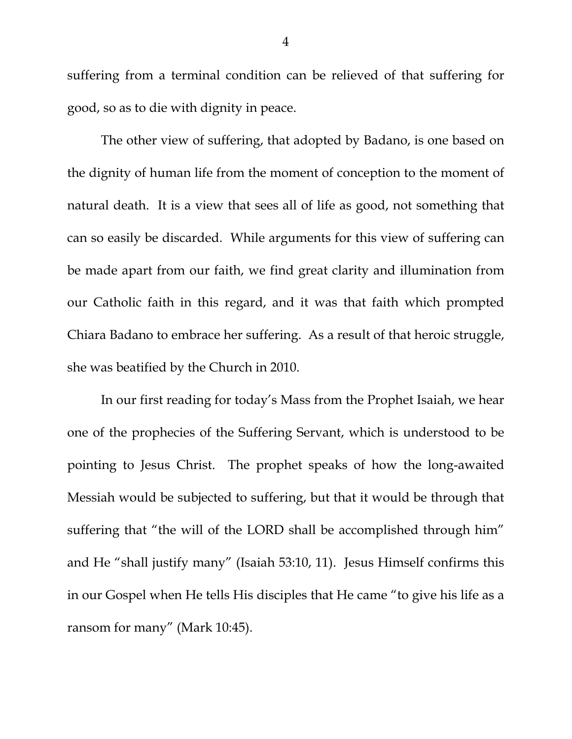suffering from a terminal condition can be relieved of that suffering for good, so as to die with dignity in peace.

The other view of suffering, that adopted by Badano, is one based on the dignity of human life from the moment of conception to the moment of natural death. It is a view that sees all of life as good, not something that can so easily be discarded. While arguments for this view of suffering can be made apart from our faith, we find great clarity and illumination from our Catholic faith in this regard, and it was that faith which prompted Chiara Badano to embrace her suffering. As a result of that heroic struggle, she was beatified by the Church in 2010.

In our first reading for today's Mass from the Prophet Isaiah, we hear one of the prophecies of the Suffering Servant, which is understood to be pointing to Jesus Christ. The prophet speaks of how the long-awaited Messiah would be subjected to suffering, but that it would be through that suffering that "the will of the LORD shall be accomplished through him" and He "shall justify many" (Isaiah 53:10, 11). Jesus Himself confirms this in our Gospel when He tells His disciples that He came "to give his life as a ransom for many" (Mark 10:45).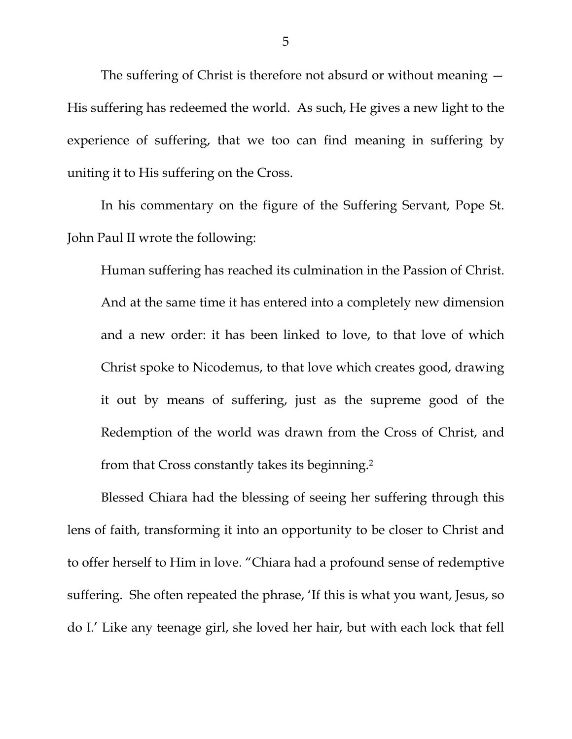The suffering of Christ is therefore not absurd or without meaning — His suffering has redeemed the world. As such, He gives a new light to the experience of suffering, that we too can find meaning in suffering by uniting it to His suffering on the Cross.

In his commentary on the figure of the Suffering Servant, Pope St. John Paul II wrote the following:

Human suffering has reached its culmination in the Passion of Christ. And at the same time it has entered into a completely new dimension and a new order: it has been linked to love, to that love of which Christ spoke to Nicodemus, to that love which creates good, drawing it out by means of suffering, just as the supreme good of the Redemption of the world was drawn from the Cross of Christ, and from that Cross constantly takes its beginning.2

Blessed Chiara had the blessing of seeing her suffering through this lens of faith, transforming it into an opportunity to be closer to Christ and to offer herself to Him in love. "Chiara had a profound sense of redemptive suffering. She often repeated the phrase, 'If this is what you want, Jesus, so do I.' Like any teenage girl, she loved her hair, but with each lock that fell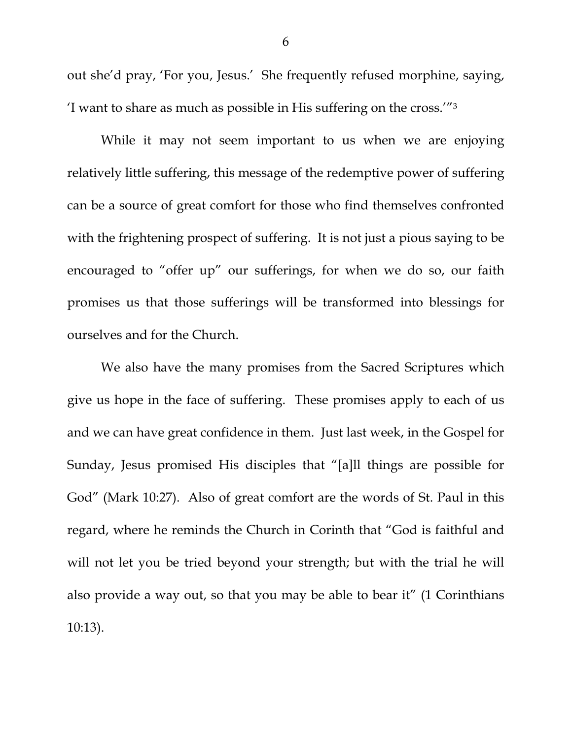out she'd pray, 'For you, Jesus.' She frequently refused morphine, saying, 'I want to share as much as possible in His suffering on the cross.'"3

While it may not seem important to us when we are enjoying relatively little suffering, this message of the redemptive power of suffering can be a source of great comfort for those who find themselves confronted with the frightening prospect of suffering. It is not just a pious saying to be encouraged to "offer up" our sufferings, for when we do so, our faith promises us that those sufferings will be transformed into blessings for ourselves and for the Church.

We also have the many promises from the Sacred Scriptures which give us hope in the face of suffering. These promises apply to each of us and we can have great confidence in them. Just last week, in the Gospel for Sunday, Jesus promised His disciples that "[a]ll things are possible for God" (Mark 10:27). Also of great comfort are the words of St. Paul in this regard, where he reminds the Church in Corinth that "God is faithful and will not let you be tried beyond your strength; but with the trial he will also provide a way out, so that you may be able to bear it" (1 Corinthians 10:13).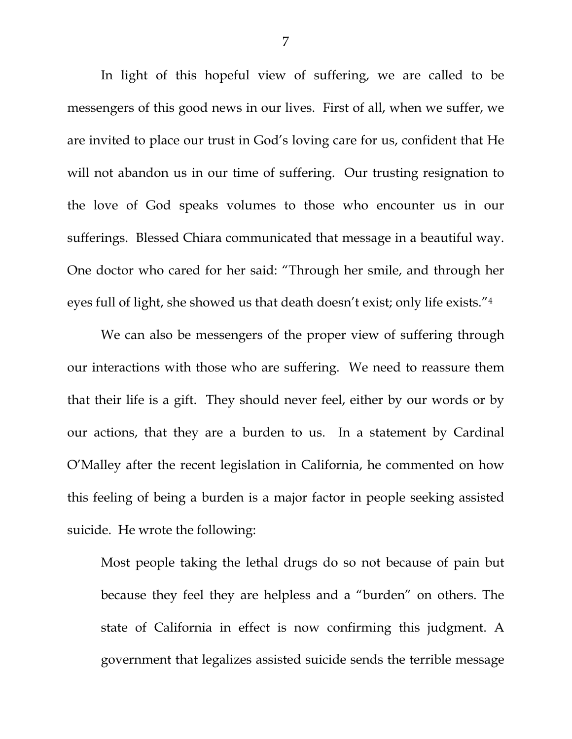In light of this hopeful view of suffering, we are called to be messengers of this good news in our lives. First of all, when we suffer, we are invited to place our trust in God's loving care for us, confident that He will not abandon us in our time of suffering. Our trusting resignation to the love of God speaks volumes to those who encounter us in our sufferings. Blessed Chiara communicated that message in a beautiful way. One doctor who cared for her said: "Through her smile, and through her eyes full of light, she showed us that death doesn't exist; only life exists."4

We can also be messengers of the proper view of suffering through our interactions with those who are suffering. We need to reassure them that their life is a gift. They should never feel, either by our words or by our actions, that they are a burden to us. In a statement by Cardinal O'Malley after the recent legislation in California, he commented on how this feeling of being a burden is a major factor in people seeking assisted suicide. He wrote the following:

Most people taking the lethal drugs do so not because of pain but because they feel they are helpless and a "burden" on others. The state of California in effect is now confirming this judgment. A government that legalizes assisted suicide sends the terrible message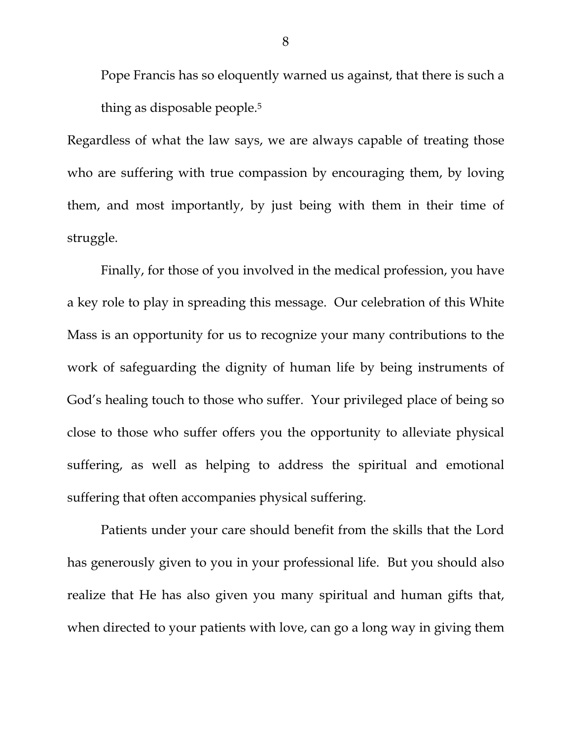Pope Francis has so eloquently warned us against, that there is such a thing as disposable people.5

Regardless of what the law says, we are always capable of treating those who are suffering with true compassion by encouraging them, by loving them, and most importantly, by just being with them in their time of struggle.

 Finally, for those of you involved in the medical profession, you have a key role to play in spreading this message. Our celebration of this White Mass is an opportunity for us to recognize your many contributions to the work of safeguarding the dignity of human life by being instruments of God's healing touch to those who suffer. Your privileged place of being so close to those who suffer offers you the opportunity to alleviate physical suffering, as well as helping to address the spiritual and emotional suffering that often accompanies physical suffering.

 Patients under your care should benefit from the skills that the Lord has generously given to you in your professional life. But you should also realize that He has also given you many spiritual and human gifts that, when directed to your patients with love, can go a long way in giving them